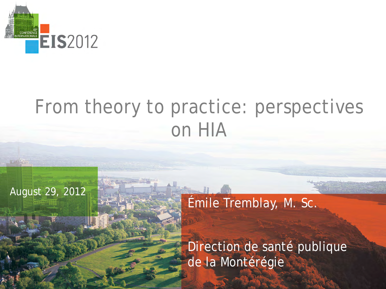

## From theory to practice: perspectives on HIA

## August 29, 2012

Émile Tremblay, M. Sc.

Direction de santé publique de la Montérégie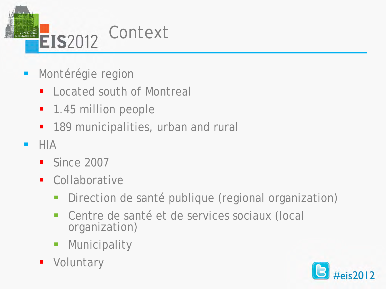

- **Montérégie region** 
	- **Located south of Montreal**
	- 1.45 million people
	- 189 municipalities, urban and rural
- $-HIA$ 
	- Since 2007
	- **Collaborative** 
		- **Direction de santé publique (regional organization)**
		- Centre de santé et de services sociaux (local organization)
		- **Municipality**
	- **•** Voluntary

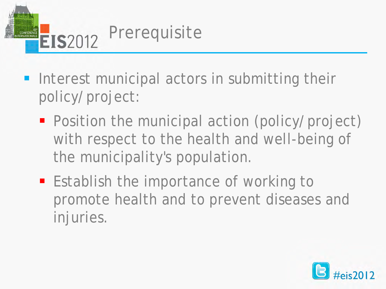

- **Interest municipal actors in submitting their** policy/project:
	- **Position the municipal action (policy/project)** with respect to the health and well-being of the municipality's population.
	- **Establish the importance of working to** promote health and to prevent diseases and injuries.

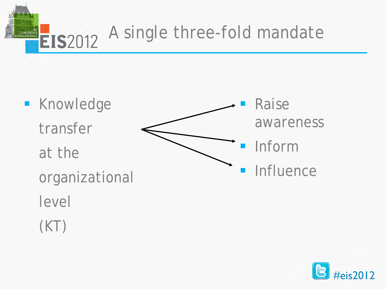

**Knowledge** transfer at the organizational level Raise awareness Inform **Influence** 

(KT)

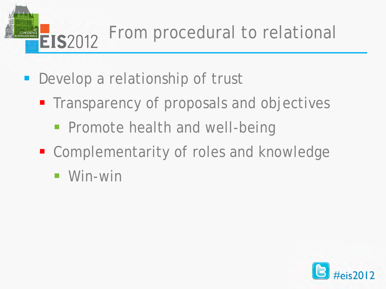From procedural to relational XII°<br>CONFÉRENCE<br>ERNATIONALE **EIS**2012

- **Develop a relationship of trust** 
	- **The Transparency of proposals and objectives** 
		- **Promote health and well-being**
	- **E** Complementarity of roles and knowledge
		- Win-win

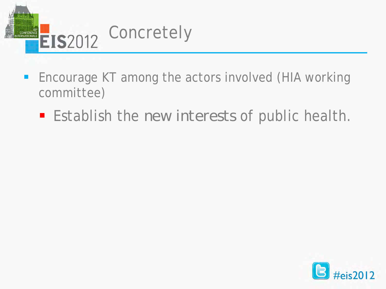

- **Encourage KT among the actors involved (HIA working** committee)
	- **Establish the** *new interests* of public health.

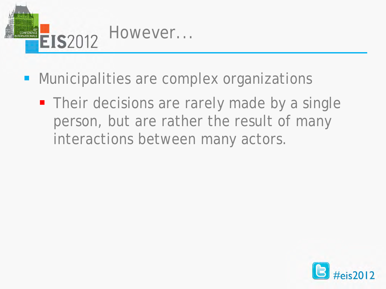

- **Municipalities are complex organizations** 
	- **Their decisions are rarely made by a single** person, but are rather the result of many interactions between many actors.

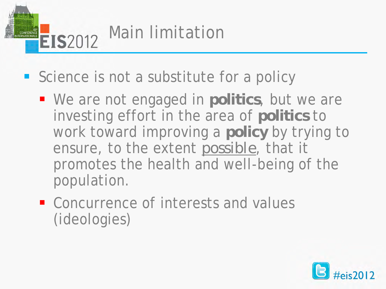

- Science is not a substitute for a policy
	- We are not engaged in **politics**, but we are investing effort in the area of **politics** to work toward improving a **policy** by trying to ensure, to the extent *possible*, that it promotes the health and well-being of the population.
	- Concurrence of interests and values (ideologies)

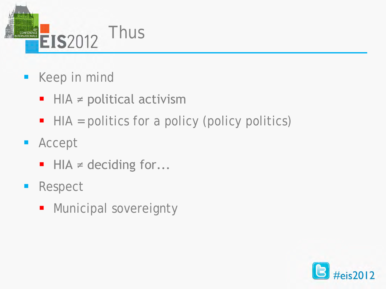

- **Keep in mind** 
	- $\blacksquare$  HIA  $\neq$  political activism
	- HIA = politics for a policy (policy politics)
- **Accept** 
	- $\blacksquare$  HIA  $\neq$  deciding for...
- **Respect** 
	- **Nunicipal sovereignty**

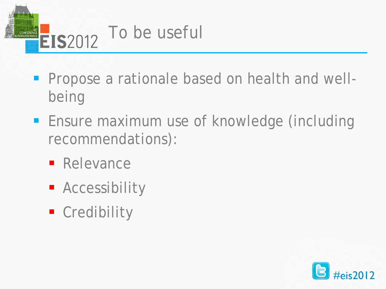

- **Propose a rationale based on health and well**being
- **Ensure maximum use of knowledge (including** recommendations):
	- **Relevance**
	- **Accessibility**
	- **Credibility**

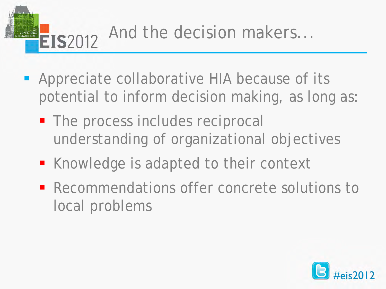

- **-** Appreciate collaborative HIA because of its potential to inform decision making, as long as:
	- The process includes reciprocal understanding of organizational objectives
	- Knowledge is adapted to their context
	- **Recommendations offer concrete solutions to** local problems